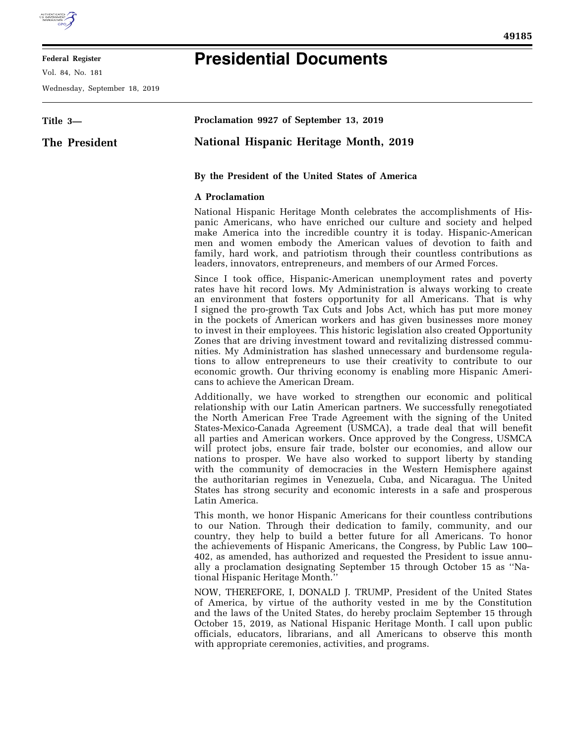

## **Federal Register**

Vol. 84, No. 181

Wednesday, September 18, 2019

## **Presidential Documents**

| Title 3-      | Proclamation 9927 of September 13, 2019                                                                                                                                                                                                                                                                                                                                                                                                                                                                                                                                                                                                                                                                                                                                                                                        |
|---------------|--------------------------------------------------------------------------------------------------------------------------------------------------------------------------------------------------------------------------------------------------------------------------------------------------------------------------------------------------------------------------------------------------------------------------------------------------------------------------------------------------------------------------------------------------------------------------------------------------------------------------------------------------------------------------------------------------------------------------------------------------------------------------------------------------------------------------------|
| The President | <b>National Hispanic Heritage Month, 2019</b>                                                                                                                                                                                                                                                                                                                                                                                                                                                                                                                                                                                                                                                                                                                                                                                  |
|               | By the President of the United States of America                                                                                                                                                                                                                                                                                                                                                                                                                                                                                                                                                                                                                                                                                                                                                                               |
|               | <b>A</b> Proclamation                                                                                                                                                                                                                                                                                                                                                                                                                                                                                                                                                                                                                                                                                                                                                                                                          |
|               | National Hispanic Heritage Month celebrates the accomplishments of His-<br>panic Americans, who have enriched our culture and society and helped<br>make America into the incredible country it is today. Hispanic-American<br>men and women embody the American values of devotion to faith and<br>family, hard work, and patriotism through their countless contributions as<br>leaders, innovators, entrepreneurs, and members of our Armed Forces.                                                                                                                                                                                                                                                                                                                                                                         |
|               | Since I took office, Hispanic-American unemployment rates and poverty<br>rates have hit record lows. My Administration is always working to create<br>an environment that fosters opportunity for all Americans. That is why<br>I signed the pro-growth Tax Cuts and Jobs Act, which has put more money<br>in the pockets of American workers and has given businesses more money<br>to invest in their employees. This historic legislation also created Opportunity<br>Zones that are driving investment toward and revitalizing distressed commu-<br>nities. My Administration has slashed unnecessary and burdensome regula-<br>tions to allow entrepreneurs to use their creativity to contribute to our<br>economic growth. Our thriving economy is enabling more Hispanic Ameri-<br>cans to achieve the American Dream. |
|               | Additionally, we have worked to strengthen our economic and political<br>relationship with our Latin American partners. We successfully renegotiated<br>the North American Free Trade Agreement with the signing of the United<br>States-Mexico-Canada Agreement (USMCA), a trade deal that will benefit<br>all parties and American workers. Once approved by the Congress, USMCA<br>will protect jobs, ensure fair trade, bolster our economies, and allow our<br>nations to prosper. We have also worked to support liberty by standing<br>with the community of democracies in the Western Hemisphere against<br>the authoritarian regimes in Venezuela, Cuba, and Nicaragua. The United<br>States has strong security and economic interests in a safe and prosperous<br>Latin America.                                   |
|               | This month, we honor Hispanic Americans for their countless contributions<br>to our Nation. Through their dedication to family, community, and our<br>country, they help to build a better future for all Americans. To honor<br>the achievements of Hispanic Americans, the Congress, by Public Law 100–<br>402, as amended, has authorized and requested the President to issue annu-<br>ally a proclamation designating September 15 through October 15 as "Na-<br>tional Hispanic Heritage Month.'                                                                                                                                                                                                                                                                                                                         |
|               | NOW, THEREFORE, I, DONALD J. TRUMP, President of the United States<br>of America, by virtue of the authority vested in me by the Constitution<br>and the laws of the United States, do hereby proclaim September 15 through                                                                                                                                                                                                                                                                                                                                                                                                                                                                                                                                                                                                    |

October 15, 2019, as National Hispanic Heritage Month. I call upon public officials, educators, librarians, and all Americans to observe this month

with appropriate ceremonies, activities, and programs.